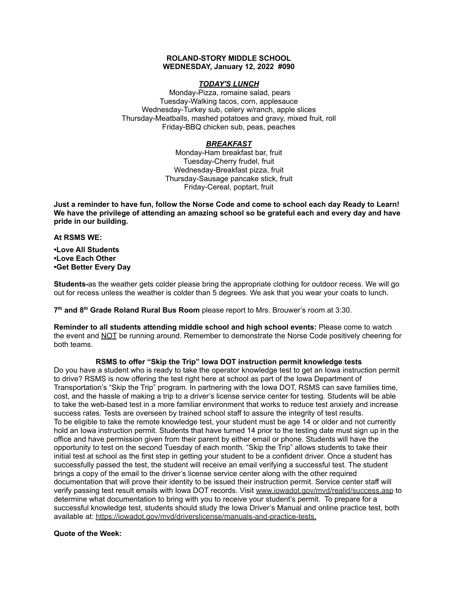### **ROLAND-STORY MIDDLE SCHOOL WEDNESDAY, January 12, 2022 #090**

# *TODAY'S LUNCH*

Monday-Pizza, romaine salad, pears Tuesday-Walking tacos, corn, applesauce Wednesday-Turkey sub, celery w/ranch, apple slices Thursday-Meatballs, mashed potatoes and gravy, mixed fruit, roll Friday-BBQ chicken sub, peas, peaches

# *BREAKFAST*

Monday-Ham breakfast bar, fruit Tuesday-Cherry frudel, fruit Wednesday-Breakfast pizza, fruit Thursday-Sausage pancake stick, fruit Friday-Cereal, poptart, fruit

Just a reminder to have fun, follow the Norse Code and come to school each day Ready to Learn! **We have the privilege of attending an amazing school so be grateful each and every day and have pride in our building.**

#### **At RSMS WE:**

**•Love All Students •Love Each Other •Get Better Every Day**

**Students-**as the weather gets colder please bring the appropriate clothing for outdoor recess. We will go out for recess unless the weather is colder than 5 degrees. We ask that you wear your coats to lunch.

**7 th and 8 th Grade Roland Rural Bus Room** please report to Mrs. Brouwer's room at 3:30.

**Reminder to all students attending middle school and high school events:** Please come to watch the event and NOT be running around. Remember to demonstrate the Norse Code positively cheering for both teams.

# **RSMS to offer "Skip the Trip" Iowa DOT instruction permit knowledge tests**

Do you have a student who is ready to take the operator knowledge test to get an Iowa instruction permit to drive? RSMS is now offering the test right here at school as part of the Iowa Department of Transportation's "Skip the Trip" program. In partnering with the Iowa DOT, RSMS can save families time, cost, and the hassle of making a trip to a driver's license service center for testing. Students will be able to take the web-based test in a more familiar environment that works to reduce test anxiety and increase success rates. Tests are overseen by trained school staff to assure the integrity of test results. To be eligible to take the remote knowledge test, your student must be age 14 or older and not currently hold an Iowa instruction permit. Students that have turned 14 prior to the testing date must sign up in the office and have permission given from their parent by either email or phone. Students will have the opportunity to test on the second Tuesday of each month. "Skip the Trip" allows students to take their initial test at school as the first step in getting your student to be a confident driver. Once a student has successfully passed the test, the student will receive an email verifying a successful test. The student brings a copy of the email to the driver's license service center along with the other required documentation that will prove their identity to be issued their instruction permit. Service center staff will verify passing test result emails with Iowa DOT records. Visit [www.iowadot.gov/mvd/realid/success.asp](http://www.iowadot.gov/mvd/realid/success.asp) to determine what documentation to bring with you to receive your student's permit. To prepare for a successful knowledge test, students should study the Iowa Driver's Manual and online practice test, both available at: <https://iowadot.gov/mvd/driverslicense/manuals-and-practice-tests>.

# **Quote of the Week:**